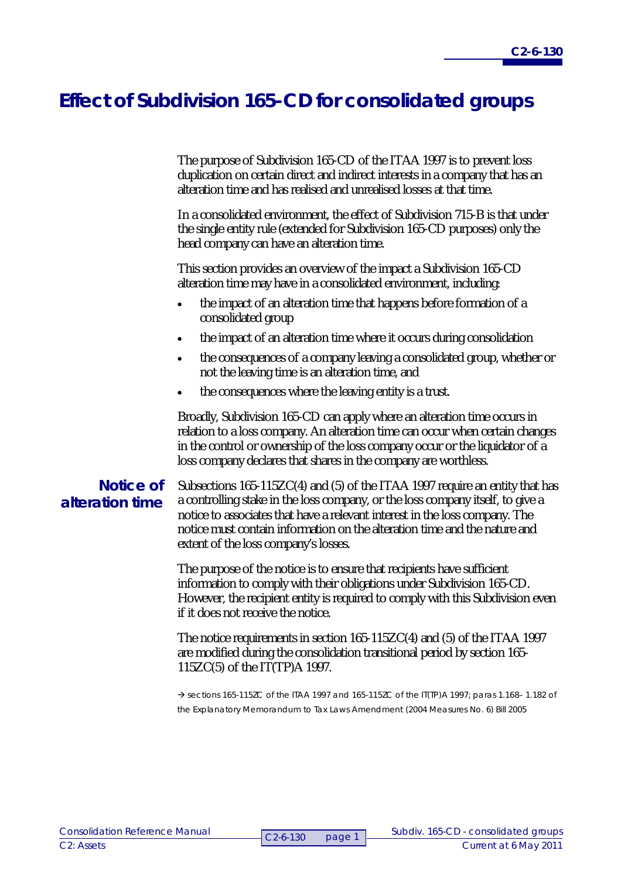# **Effect of Subdivision 165-CD for consolidated groups**

The purpose of Subdivision 165-CD of the ITAA 1997 is to prevent loss duplication on certain direct and indirect interests in a company that has an alteration time and has realised and unrealised losses at that time.

In a consolidated environment, the effect of Subdivision 715-B is that under the single entity rule (extended for Subdivision 165-CD purposes) only the head company can have an alteration time.

This section provides an overview of the impact a Subdivision 165-CD alteration time may have in a consolidated environment, including:

- the impact of an alteration time that happens before formation of a consolidated group
- the impact of an alteration time where it occurs during consolidation
- the consequences of a company leaving a consolidated group, whether or not the leaving time is an alteration time, and
- the consequences where the leaving entity is a trust.

Broadly, Subdivision 165-CD can apply where an alteration time occurs in relation to a loss company. An alteration time can occur when certain changes in the control or ownership of the loss company occur or the liquidator of a loss company declares that shares in the company are worthless.

## **Notice of alteration time**

Subsections 165-115ZC(4) and (5) of the ITAA 1997 require an entity that has a controlling stake in the loss company, or the loss company itself, to give a notice to associates that have a relevant interest in the loss company. The notice must contain information on the alteration time and the nature and extent of the loss company's losses.

The purpose of the notice is to ensure that recipients have sufficient information to comply with their obligations under Subdivision 165-CD. However, the recipient entity is required to comply with this Subdivision even if it does not receive the notice.

The notice requirements in section 165-115ZC(4) and (5) of the ITAA 1997 are modified during the consolidation transitional period by section 165- 115ZC(5) of the IT(TP)A 1997.

 $\rightarrow$  sections 165-115ZC of the ITAA 1997 and 165-115ZC of the IT(TP)A 1997; paras 1.168-1.182 of the Explanatory Memorandum to Tax Laws Amendment (2004 Measures No. 6) Bill 2005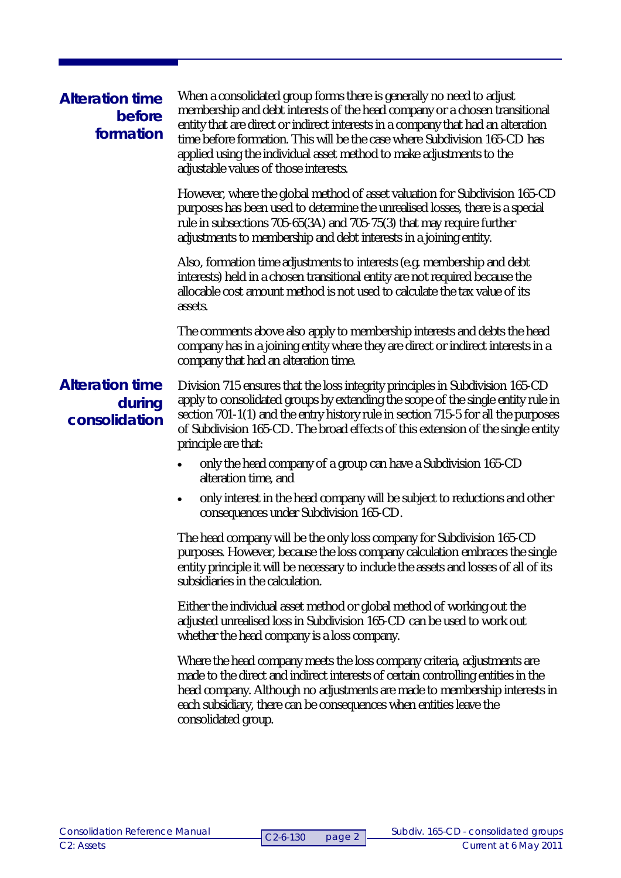# **Alteration time before formation**

When a consolidated group forms there is generally no need to adjust membership and debt interests of the head company or a chosen transitional entity that are direct or indirect interests in a company that had an alteration time before formation. This will be the case where Subdivision 165-CD has applied using the individual asset method to make adjustments to the adjustable values of those interests.

However, where the global method of asset valuation for Subdivision 165-CD purposes has been used to determine the unrealised losses, there is a special rule in subsections 705-65(3A) and 705-75(3) that may require further adjustments to membership and debt interests in a joining entity.

Also, formation time adjustments to interests (e.g. membership and debt interests) held in a chosen transitional entity are not required because the allocable cost amount method is not used to calculate the tax value of its assets.

The comments above also apply to membership interests and debts the head company has in a joining entity where they are direct or indirect interests in a company that had an alteration time.

# **Alteration time during consolidation**

Division 715 ensures that the loss integrity principles in Subdivision 165-CD apply to consolidated groups by extending the scope of the single entity rule in section 701-1(1) and the entry history rule in section 715-5 for all the purposes of Subdivision 165-CD. The broad effects of this extension of the single entity principle are that:

- only the head company of a group can have a Subdivision 165-CD alteration time, and
- only interest in the head company will be subject to reductions and other consequences under Subdivision 165-CD.

The head company will be the only loss company for Subdivision 165-CD purposes. However, because the loss company calculation embraces the single entity principle it will be necessary to include the assets and losses of all of its subsidiaries in the calculation.

Either the individual asset method or global method of working out the adjusted unrealised loss in Subdivision 165-CD can be used to work out whether the head company is a loss company.

Where the head company meets the loss company criteria, adjustments are made to the direct and indirect interests of certain controlling entities in the head company. Although no adjustments are made to membership interests in each subsidiary, there can be consequences when entities leave the consolidated group.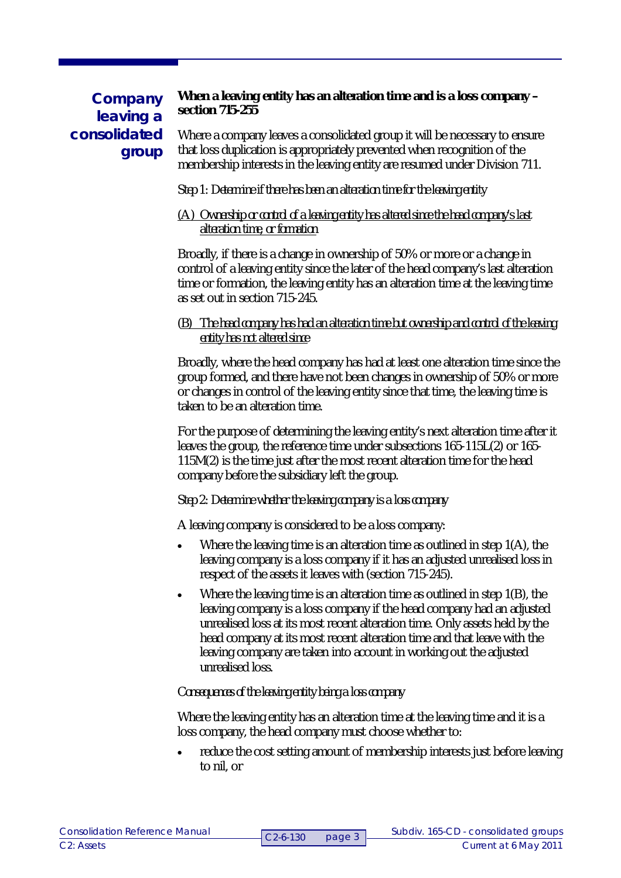**Company leaving a consolidated group**

**When a leaving entity has an alteration time and is a loss company – section 715-255**

Where a company leaves a consolidated group it will be necessary to ensure that loss duplication is appropriately prevented when recognition of the membership interests in the leaving entity are resumed under Division 711.

#### *Step 1: Determine if there has been an alteration time for the leaving entity*

#### *(A) Ownership or control of a leaving entity has altered since the head company's last alteration time, or formation*

Broadly, if there is a change in ownership of 50% or more or a change in control of a leaving entity since the later of the head company's last alteration time or formation, the leaving entity has an alteration time at the leaving time as set out in section 715-245.

#### *(B) The head company has had an alteration time but ownership and control of the leaving entity has not altered since*

Broadly, where the head company has had at least one alteration time since the group formed, and there have not been changes in ownership of 50% or more or changes in control of the leaving entity since that time, the leaving time is taken to be an alteration time.

For the purpose of determining the leaving entity's next alteration time after it leaves the group, the reference time under subsections 165-115L(2) or 165- 115M(2) is the time just after the most recent alteration time for the head company before the subsidiary left the group.

### *Step 2: Determine whether the leaving company is a loss company*

A leaving company is considered to be a loss company:

- $\bullet$  Where the leaving time is an alteration time as outlined in step 1(A), the leaving company is a loss company if it has an adjusted unrealised loss in respect of the assets it leaves with (section 715-245).
- Where the leaving time is an alteration time as outlined in step  $1(B)$ , the leaving company is a loss company if the head company had an adjusted unrealised loss at its most recent alteration time. Only assets held by the head company at its most recent alteration time and that leave with the leaving company are taken into account in working out the adjusted unrealised loss.

### *Consequences of the leaving entity being a loss company*

Where the leaving entity has an alteration time at the leaving time and it is a loss company, the head company must choose whether to:

 reduce the cost setting amount of membership interests just before leaving to nil, or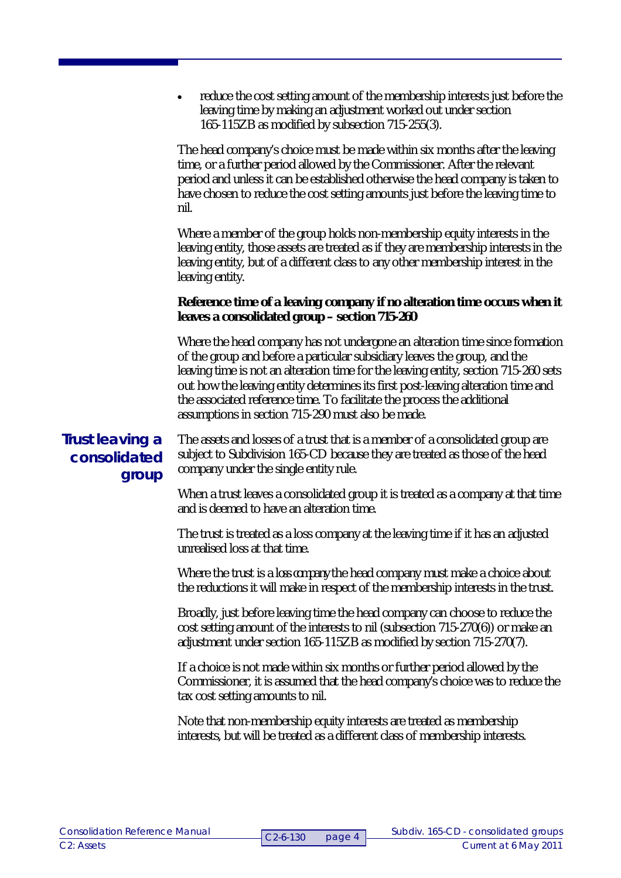|                                          | reduce the cost setting amount of the membership interests just before the<br>$\bullet$<br>leaving time by making an adjustment worked out under section<br>165-115ZB as modified by subsection 715-255(3).                                                                                                                                                                                                                                                         |  |
|------------------------------------------|---------------------------------------------------------------------------------------------------------------------------------------------------------------------------------------------------------------------------------------------------------------------------------------------------------------------------------------------------------------------------------------------------------------------------------------------------------------------|--|
|                                          | The head company's choice must be made within six months after the leaving<br>time, or a further period allowed by the Commissioner. After the relevant<br>period and unless it can be established otherwise the head company is taken to<br>have chosen to reduce the cost setting amounts just before the leaving time to<br>nil.                                                                                                                                 |  |
|                                          | Where a member of the group holds non-membership equity interests in the<br>leaving entity, those assets are treated as if they are membership interests in the<br>leaving entity, but of a different class to any other membership interest in the<br>leaving entity.                                                                                                                                                                                              |  |
|                                          | Reference time of a leaving company if no alteration time occurs when it<br>leaves a consolidated group – section 715-260                                                                                                                                                                                                                                                                                                                                           |  |
|                                          | Where the head company has not undergone an alteration time since formation<br>of the group and before a particular subsidiary leaves the group, and the<br>leaving time is not an alteration time for the leaving entity, section 715-260 sets<br>out how the leaving entity determines its first post-leaving alteration time and<br>the associated reference time. To facilitate the process the additional<br>assumptions in section 715-290 must also be made. |  |
| Trust leaving a<br>consolidated<br>group | The assets and losses of a trust that is a member of a consolidated group are<br>subject to Subdivision 165-CD because they are treated as those of the head<br>company under the single entity rule.                                                                                                                                                                                                                                                               |  |
|                                          | When a trust leaves a consolidated group it is treated as a company at that time<br>and is deemed to have an alteration time.                                                                                                                                                                                                                                                                                                                                       |  |
|                                          | The trust is treated as a loss company at the leaving time if it has an adjusted<br>unrealised loss at that time.                                                                                                                                                                                                                                                                                                                                                   |  |
|                                          | Where the trust is a loss company the head company must make a choice about<br>the reductions it will make in respect of the membership interests in the trust.                                                                                                                                                                                                                                                                                                     |  |
|                                          | Broadly, just before leaving time the head company can choose to reduce the<br>cost setting amount of the interests to nil (subsection 715-270(6)) or make an<br>adjustment under section 165-115ZB as modified by section 715-270(7).                                                                                                                                                                                                                              |  |
|                                          | If a choice is not made within six months or further period allowed by the<br>Commissioner, it is assumed that the head company's choice was to reduce the<br>tax cost setting amounts to nil.                                                                                                                                                                                                                                                                      |  |

Note that non-membership equity interests are treated as membership interests, but will be treated as a different class of membership interests.